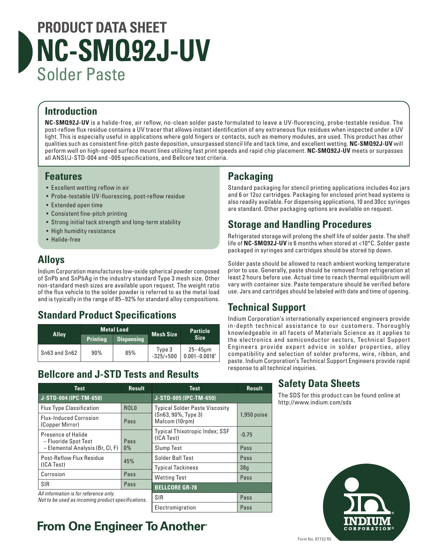# **PRODUCT DATA SHEET NC-SMQ92J-UV** Solder Paste

### **Introduction**

**NC-SMQ92J-UV** is a halide-free, air reflow, no-clean solder paste formulated to leave a UV-fluorescing, probe-testable residue. The post-reflow flux residue contains a UV tracer that allows instant identification of any extraneous flux residues when inspected under a UV light. This is especially useful in applications where gold fingers or contacts, such as memory modules, are used. This product has other qualities such as consistent fine-pitch paste deposition, unsurpassed stencil life and tack time, and excellent wetting. **NC-SMQ92J-UV** will perform well on high-speed surface mount lines utilizing fast print speeds and rapid chip placement. **NC-SMQ92J-UV** meets or surpasses all ANSI/J-STD-004 and -005 specifications, and Bellcore test criteria.

#### **Features**

- Excellent wetting reflow in air
- Probe-testable UV-fluorescing, post-reflow residue
- Extended open time
- Consistent fine-pitch printing
- Strong initial tack strength and long-term stability
- High humidity resistance
- Halide-free

#### **Alloys**

Indium Corporation manufactures low-oxide spherical powder composed of SnPb and SnPbAg in the industry standard Type 3 mesh size. Other non-standard mesh sizes are available upon request. The weight ratio of the flux vehicle to the solder powder is referred to as the metal load and is typically in the range of 85–92% for standard alloy compositions.

### **Standard Product Specifications**

| <b>Alloy</b>  | <b>Metal Load</b> |                   | <b>Mesh Size</b>      | <b>Particle</b>                   |
|---------------|-------------------|-------------------|-----------------------|-----------------------------------|
|               | <b>Printing</b>   | <b>Dispensing</b> |                       | <b>Size</b>                       |
| Sn63 and Sn62 | 90%               | 85%               | Type 3<br>$-325/+500$ | $25 - 45$ um<br>$0.001 - 0.0018"$ |

#### **Bellcore and J-STD Tests and Results**

## **Packaging**

Standard packaging for stencil printing applications includes 4oz jars and 6 or 12oz cartridges. Packaging for enclosed print head systems is also readily available. For dispensing applications, 10 and 30cc syringes are standard. Other packaging options are available on request.

#### **Storage and Handling Procedures**

Refrigerated storage will prolong the shelf life of solder paste. The shelf life of **NC-SMQ92J-UV** is 6 months when stored at <10°C. Solder paste packaged in syringes and cartridges should be stored tip down.

Solder paste should be allowed to reach ambient working temperature prior to use. Generally, paste should be removed from refrigeration at least 2 hours before use. Actual time to reach thermal equilibrium will vary with container size. Paste temperature should be verified before use. Jars and cartridges should be labeled with date and time of opening.

#### **Technical Support**

Indium Corporation's internationally experienced engineers provide in-depth technical assistance to our customers. Thoroughly knowledgeable in all facets of Materials Science as it applies to the electronics and semiconductor sectors, Technical Support Engineers provide expert advice in solder properties, alloy compatibility and selection of solder preforms, wire, ribbon, and paste. Indium Corporation's Technical Support Engineers provide rapid response to all technical inquiries.

#### *All information is for reference only. Not to be used as incoming product specifications.* **Test Result J-STD-004 (IPC-TM-650)** Flux Type Classification | ROLO Flux-Induced Corrosion (Copper Mirror) Pass Presence of Halide – Fluoride Spot Test – Elemental Analysis (Br, Cl, F) Pass 0% Post-Reflow Flux Residue TOSC-RENOW Flux Residue 45% Corrosion Pass SIR Pass **Test Result J-STD-005 (IPC-TM-650)** Typical Solder Paste Viscosity (Sn63, 90%, Type 3) Malcom (10rpm) 1,950 poise Typical Thixotropic Index; SSF (ICA Test) -0.75 Slump Test Pass Solder Ball Test Pass Typical Tackiness 38g Wetting Test **Pass BELLCORE GR-78** SIR Pass Electromigration Pass

**From One Engineer To Another**®

#### **Safety Data Sheets**

The SDS for this product can be found online at http://www.indium.com/sds